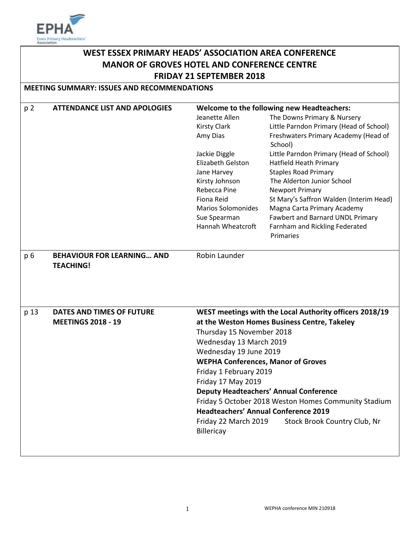

# **WEST ESSEX PRIMARY HEADS' ASSOCIATION AREA CONFERENCE MANOR OF GROVES HOTEL AND CONFERENCE CENTRE FRIDAY 21 SEPTEMBER 2018**

### **MEETING SUMMARY: ISSUES AND RECOMMENDATIONS**

| p <sub>2</sub>                                       | <b>ATTENDANCE LIST AND APOLOGIES</b>                  | Welcome to the following new Headteachers:                                                                                                     |                                                         |  |  |  |  |  |
|------------------------------------------------------|-------------------------------------------------------|------------------------------------------------------------------------------------------------------------------------------------------------|---------------------------------------------------------|--|--|--|--|--|
|                                                      |                                                       | Jeanette Allen                                                                                                                                 | The Downs Primary & Nursery                             |  |  |  |  |  |
|                                                      |                                                       | <b>Kirsty Clark</b>                                                                                                                            | Little Parndon Primary (Head of School)                 |  |  |  |  |  |
|                                                      |                                                       | Amy Dias                                                                                                                                       | Freshwaters Primary Academy (Head of<br>School)         |  |  |  |  |  |
|                                                      |                                                       | Jackie Diggle                                                                                                                                  | Little Parndon Primary (Head of School)                 |  |  |  |  |  |
|                                                      |                                                       | Elizabeth Gelston                                                                                                                              | <b>Hatfield Heath Primary</b>                           |  |  |  |  |  |
|                                                      |                                                       | Jane Harvey                                                                                                                                    | <b>Staples Road Primary</b>                             |  |  |  |  |  |
|                                                      |                                                       | Kirsty Johnson                                                                                                                                 | The Alderton Junior School                              |  |  |  |  |  |
|                                                      |                                                       | Rebecca Pine                                                                                                                                   | <b>Newport Primary</b>                                  |  |  |  |  |  |
|                                                      |                                                       | Fiona Reid                                                                                                                                     | St Mary's Saffron Walden (Interim Head)                 |  |  |  |  |  |
|                                                      |                                                       | <b>Marios Solomonides</b>                                                                                                                      | Magna Carta Primary Academy                             |  |  |  |  |  |
|                                                      |                                                       | Sue Spearman                                                                                                                                   | Fawbert and Barnard UNDL Primary                        |  |  |  |  |  |
|                                                      |                                                       | Hannah Wheatcroft                                                                                                                              | Farnham and Rickling Federated                          |  |  |  |  |  |
|                                                      |                                                       |                                                                                                                                                | Primaries                                               |  |  |  |  |  |
| p 6                                                  | <b>BEHAVIOUR FOR LEARNING AND</b><br><b>TEACHING!</b> | Robin Launder                                                                                                                                  |                                                         |  |  |  |  |  |
|                                                      |                                                       |                                                                                                                                                |                                                         |  |  |  |  |  |
| p 13                                                 | DATES AND TIMES OF FUTURE                             |                                                                                                                                                | WEST meetings with the Local Authority officers 2018/19 |  |  |  |  |  |
|                                                      | <b>MEETINGS 2018 - 19</b>                             | at the Weston Homes Business Centre, Takeley                                                                                                   |                                                         |  |  |  |  |  |
|                                                      |                                                       | Thursday 15 November 2018                                                                                                                      |                                                         |  |  |  |  |  |
|                                                      |                                                       | Wednesday 13 March 2019<br>Wednesday 19 June 2019<br><b>WEPHA Conferences, Manor of Groves</b><br>Friday 1 February 2019<br>Friday 17 May 2019 |                                                         |  |  |  |  |  |
|                                                      |                                                       |                                                                                                                                                |                                                         |  |  |  |  |  |
|                                                      |                                                       |                                                                                                                                                |                                                         |  |  |  |  |  |
|                                                      |                                                       |                                                                                                                                                |                                                         |  |  |  |  |  |
|                                                      |                                                       |                                                                                                                                                |                                                         |  |  |  |  |  |
|                                                      | <b>Deputy Headteachers' Annual Conference</b>         |                                                                                                                                                |                                                         |  |  |  |  |  |
| Friday 5 October 2018 Weston Homes Community Stadium |                                                       |                                                                                                                                                |                                                         |  |  |  |  |  |
|                                                      |                                                       | <b>Headteachers' Annual Conference 2019</b>                                                                                                    |                                                         |  |  |  |  |  |
|                                                      |                                                       | Friday 22 March 2019                                                                                                                           | Stock Brook Country Club, Nr                            |  |  |  |  |  |
|                                                      |                                                       | Billericay                                                                                                                                     |                                                         |  |  |  |  |  |
|                                                      |                                                       |                                                                                                                                                |                                                         |  |  |  |  |  |
|                                                      |                                                       |                                                                                                                                                |                                                         |  |  |  |  |  |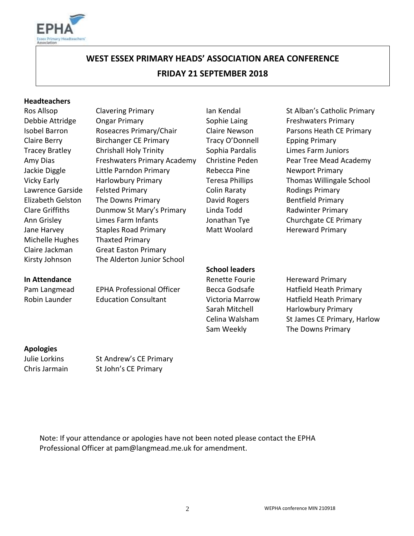

# **WEST ESSEX PRIMARY HEADS' ASSOCIATION AREA CONFERENCE FRIDAY 21 SEPTEMBER 2018**

#### **Headteachers**

Michelle Hughes Thaxted Primary Kirsty Johnson The Alderton Junior School

Ros Allsop Clavering Primary **Ian Kendal** St Alban's Catholic Primary Debbie Attridge Congar Primary **Sophie Laing Freshwaters Primary** Sophie Laing Isobel Barron Roseacres Primary/Chair Claire Newson Parsons Heath CE Primary Claire Berry Birchanger CE Primary Tracy O'Donnell Epping Primary Tracey Bratley Chrishall Holy Trinity Sophia Pardalis Limes Farm Juniors Amy Dias **Filter Freshwaters Primary Academy** Christine Peden Pear Tree Mead Academy Jackie Diggle Little Parndon Primary Cheecca Pine Newport Primary Vicky Early **Harlowbury Primary** Teresa Phillips Thomas Willingale School Lawrence Garside Felsted Primary Colin Raraty Rodings Primary Elizabeth Gelston The Downs Primary **David Rogers** Bentfield Primary Clare Griffiths **Dunmow St Mary's Primary** Linda Todd **Radwinter Primary** Ann Grisley Limes Farm Infants Jonathan Tye Churchgate CE Primary Jane Harvey Staples Road Primary Matt Woolard Hereward Primary Claire Jackman Great Easton Primary

**School leaders**

**In Attendance Contract Primary** Renette Fourie Hereward Primary Pam Langmead EPHA Professional Officer Becca Godsafe Hatfield Heath Primary Robin Launder Education Consultant Victoria Marrow Hatfield Heath Primary Sarah Mitchell Harlowbury Primary Celina Walsham St James CE Primary, Harlow Sam Weekly The Downs Primary

# **Apologies**

Julie Lorkins St Andrew's CE Primary Chris Jarmain St John's CE Primary

Note: If your attendance or apologies have not been noted please contact the EPHA Professional Officer at pam@langmead.me.uk for amendment.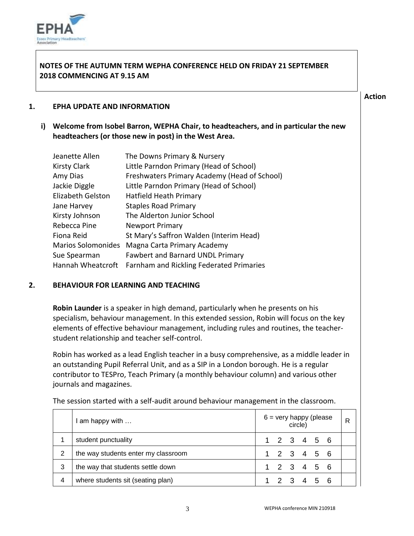

## **NOTES OF THE AUTUMN TERM WEPHA CONFERENCE HELD ON FRIDAY 21 SEPTEMBER 2018 COMMENCING AT 9.15 AM**

### **Action**

#### **1. EPHA UPDATE AND INFORMATION**

**i) Welcome from Isobel Barron, WEPHA Chair, to headteachers, and in particular the new headteachers (or those new in post) in the West Area.** 

| Jeanette Allen            | The Downs Primary & Nursery                                |
|---------------------------|------------------------------------------------------------|
| <b>Kirsty Clark</b>       | Little Parndon Primary (Head of School)                    |
| Amy Dias                  | Freshwaters Primary Academy (Head of School)               |
| Jackie Diggle             | Little Parndon Primary (Head of School)                    |
| Elizabeth Gelston         | Hatfield Heath Primary                                     |
| Jane Harvey               | <b>Staples Road Primary</b>                                |
| Kirsty Johnson            | The Alderton Junior School                                 |
| Rebecca Pine              | <b>Newport Primary</b>                                     |
| Fiona Reid                | St Mary's Saffron Walden (Interim Head)                    |
| <b>Marios Solomonides</b> | Magna Carta Primary Academy                                |
| Sue Spearman              | <b>Fawbert and Barnard UNDL Primary</b>                    |
|                           | Hannah Wheatcroft Farnham and Rickling Federated Primaries |

# **2. BEHAVIOUR FOR LEARNING AND TEACHING**

**Robin Launder** is a speaker in high demand, particularly when he presents on his specialism, behaviour management. In this extended session, Robin will focus on the key elements of effective behaviour management, including rules and routines, the teacherstudent relationship and teacher self-control.

Robin has worked as a lead English teacher in a busy comprehensive, as a middle leader in an outstanding Pupil Referral Unit, and as a SIP in a London borough. He is a regular contributor to TESPro, Teach Primary (a monthly behaviour column) and various other journals and magazines.

|                | am happy with                       | $6 =$ very happy (please<br>circle) |             |  |  |  |  | R |
|----------------|-------------------------------------|-------------------------------------|-------------|--|--|--|--|---|
|                | student punctuality                 |                                     | 1 2 3 4 5 6 |  |  |  |  |   |
| $\overline{2}$ | the way students enter my classroom |                                     | 1 2 3 4 5 6 |  |  |  |  |   |
| 3              | the way that students settle down   |                                     | 1 2 3 4 5 6 |  |  |  |  |   |
| 4              | where students sit (seating plan)   |                                     | 1 2 3 4 5 6 |  |  |  |  |   |

The session started with a self-audit around behaviour management in the classroom.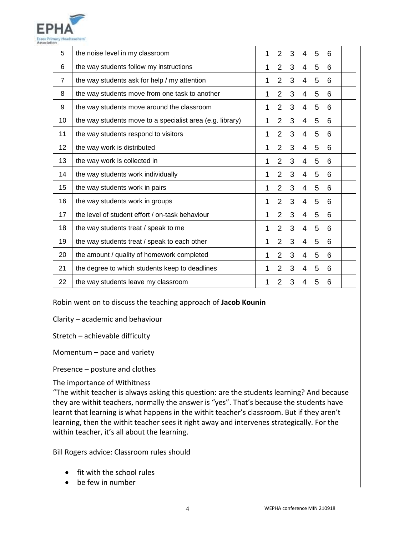

| 5              | the noise level in my classroom                           | 1 | 2              | 3 | 4              | 5 | 6 |  |
|----------------|-----------------------------------------------------------|---|----------------|---|----------------|---|---|--|
| 6              | the way students follow my instructions                   | 1 | $\overline{2}$ | 3 | 4              | 5 | 6 |  |
| $\overline{7}$ | the way students ask for help / my attention              | 1 | $\overline{2}$ | 3 | 4              | 5 | 6 |  |
| 8              | the way students move from one task to another            | 1 | $\overline{2}$ | 3 | 4              | 5 | 6 |  |
| 9              | the way students move around the classroom                | 1 | $\overline{2}$ | 3 | 4              | 5 | 6 |  |
| 10             | the way students move to a specialist area (e.g. library) | 1 | $\overline{2}$ | 3 | 4              | 5 | 6 |  |
| 11             | the way students respond to visitors                      | 1 | $\overline{2}$ | 3 | 4              | 5 | 6 |  |
| 12             | the way work is distributed                               | 1 | $\overline{2}$ | 3 | 4              | 5 | 6 |  |
| 13             | the way work is collected in                              | 1 | $\overline{2}$ | 3 | $\overline{4}$ | 5 | 6 |  |
| 14             | the way students work individually                        | 1 | $\overline{2}$ | 3 | 4              | 5 | 6 |  |
| 15             | the way students work in pairs                            | 1 | $\overline{2}$ | 3 | 4              | 5 | 6 |  |
| 16             | the way students work in groups                           | 1 | 2              | 3 | 4              | 5 | 6 |  |
| 17             | the level of student effort / on-task behaviour           | 1 | $\overline{2}$ | 3 | 4              | 5 | 6 |  |
| 18             | the way students treat / speak to me                      | 1 | $\overline{2}$ | 3 | 4              | 5 | 6 |  |
| 19             | the way students treat / speak to each other              | 1 | $\overline{2}$ | 3 | 4              | 5 | 6 |  |
| 20             | the amount / quality of homework completed                | 1 | $\overline{2}$ | 3 | 4              | 5 | 6 |  |
| 21             | the degree to which students keep to deadlines            | 1 | $\overline{2}$ | 3 | 4              | 5 | 6 |  |
| 22             | the way students leave my classroom                       | 1 | $\overline{2}$ | 3 | 4              | 5 | 6 |  |

Robin went on to discuss the teaching approach of **Jacob Kounin**

Clarity – academic and behaviour

Stretch – achievable difficulty

Momentum – pace and variety

Presence – posture and clothes

The importance of Withitness

"The withit teacher is always asking this question: are the students learning? And because they are withit teachers, normally the answer is "yes". That's because the students have learnt that learning is what happens in the withit teacher's classroom. But if they aren't learning, then the withit teacher sees it right away and intervenes strategically. For the within teacher, it's all about the learning.

Bill Rogers advice: Classroom rules should

- fit with the school rules
- be few in number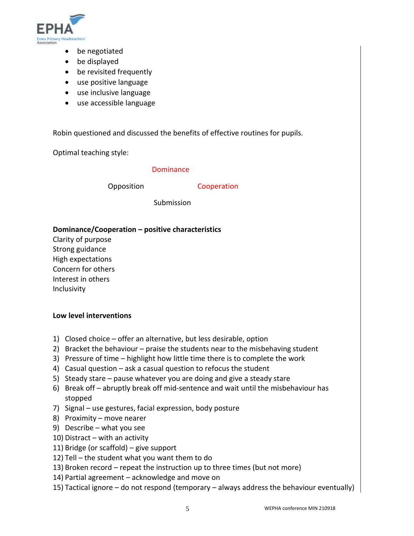

- be negotiated
- be displayed
- be revisited frequently
- use positive language
- use inclusive language
- use accessible language

Robin questioned and discussed the benefits of effective routines for pupils.

Optimal teaching style:

#### Dominance

Opposition Cooperation

Submission

### **Dominance/Cooperation – positive characteristics**

Clarity of purpose Strong guidance High expectations Concern for others Interest in others Inclusivity

#### **Low level interventions**

- 1) Closed choice offer an alternative, but less desirable, option
- 2) Bracket the behaviour praise the students near to the misbehaving student
- 3) Pressure of time highlight how little time there is to complete the work
- 4) Casual question ask a casual question to refocus the student
- 5) Steady stare pause whatever you are doing and give a steady stare
- 6) Break off abruptly break off mid-sentence and wait until the misbehaviour has stopped
- 7) Signal use gestures, facial expression, body posture
- 8) Proximity move nearer
- 9) Describe what you see
- 10) Distract with an activity
- 11) Bridge (or scaffold) give support
- 12) Tell the student what you want them to do
- 13) Broken record repeat the instruction up to three times (but not more)
- 14) Partial agreement acknowledge and move on
- 15) Tactical ignore do not respond (temporary always address the behaviour eventually)